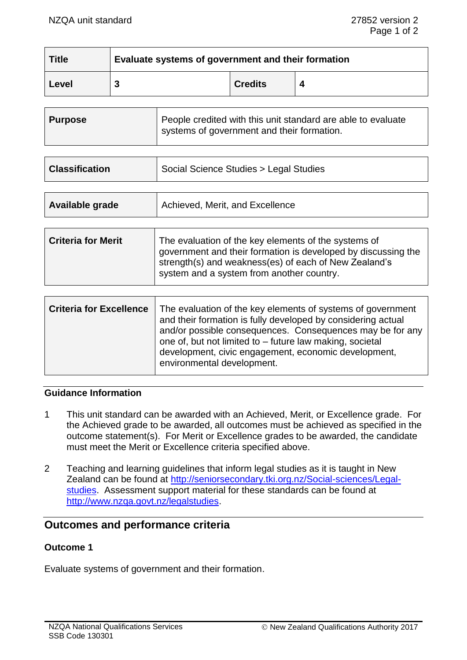| <b>Title</b> | Evaluate systems of government and their formation |                |  |
|--------------|----------------------------------------------------|----------------|--|
| ∣ Level      |                                                    | <b>Credits</b> |  |

| <b>Purpose</b> | People credited with this unit standard are able to evaluate<br>systems of government and their formation. |
|----------------|------------------------------------------------------------------------------------------------------------|
|                |                                                                                                            |

| Social Science Studies > Legal Studies<br><b>Classification</b> |
|-----------------------------------------------------------------|
|-----------------------------------------------------------------|

| Available grade | Achieved, Merit, and Excellence |
|-----------------|---------------------------------|
|                 |                                 |

| <b>Criteria for Merit</b> | The evaluation of the key elements of the systems of<br>government and their formation is developed by discussing the<br>strength(s) and weakness(es) of each of New Zealand's<br>system and a system from another country. |
|---------------------------|-----------------------------------------------------------------------------------------------------------------------------------------------------------------------------------------------------------------------------|
|                           |                                                                                                                                                                                                                             |

| <b>Criteria for Excellence</b> | The evaluation of the key elements of systems of government<br>and their formation is fully developed by considering actual<br>and/or possible consequences. Consequences may be for any<br>one of, but not limited to – future law making, societal<br>development, civic engagement, economic development,<br>environmental development. |
|--------------------------------|--------------------------------------------------------------------------------------------------------------------------------------------------------------------------------------------------------------------------------------------------------------------------------------------------------------------------------------------|
|                                |                                                                                                                                                                                                                                                                                                                                            |

### **Guidance Information**

- 1 This unit standard can be awarded with an Achieved, Merit, or Excellence grade. For the Achieved grade to be awarded, all outcomes must be achieved as specified in the outcome statement(s). For Merit or Excellence grades to be awarded, the candidate must meet the Merit or Excellence criteria specified above.
- 2 Teaching and learning guidelines that inform legal studies as it is taught in New Zealand can be found at [http://seniorsecondary.tki.org.nz/Social-sciences/Legal](http://seniorsecondary.tki.org.nz/Social-sciences/Legal-studies)[studies.](http://seniorsecondary.tki.org.nz/Social-sciences/Legal-studies) Assessment support material for these standards can be found at [http://www.nzqa.govt.nz/legalstudies.](http://www.nzqa.govt.nz/legalstudies)

# **Outcomes and performance criteria**

## **Outcome 1**

Evaluate systems of government and their formation.